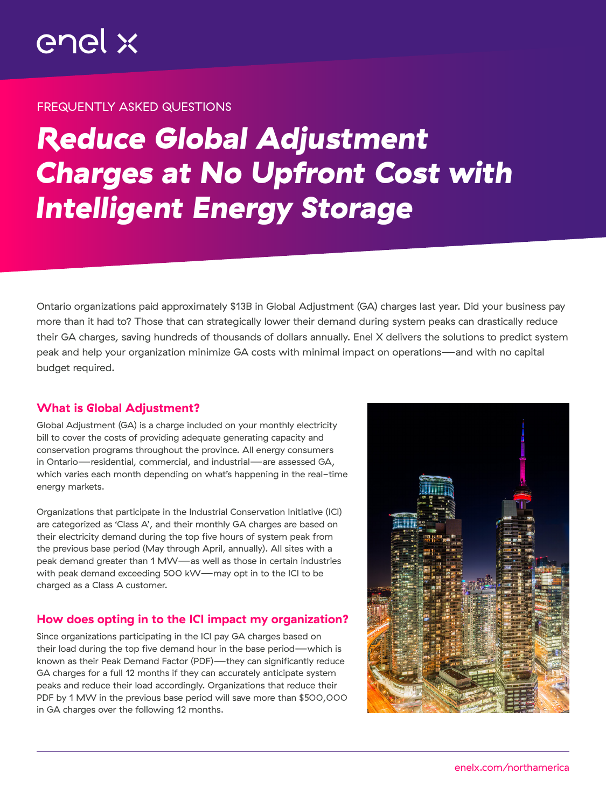## FREQUENTLY ASKED QUESTIONS

# *Reduce Global Adjustment Charges at No Upfront Cost with Intelligent Energy Storage*

Ontario organizations paid approximately \$13B in Global Adjustment (GA) charges last year. Did your business pay more than it had to? Those that can strategically lower their demand during system peaks can drastically reduce their GA charges, saving hundreds of thousands of dollars annually. Enel X delivers the solutions to predict system peak and help your organization minimize GA costs with minimal impact on operations—and with no capital budget required.

# What is Global Adjustment?

Global Adjustment (GA) is a charge included on your monthly electricity bill to cover the costs of providing adequate generating capacity and conservation programs throughout the province. All energy consumers in Ontario—residential, commercial, and industrial—are assessed GA, which varies each month depending on what's happening in the real-time energy markets.

Organizations that participate in the Industrial Conservation Initiative (ICI) are categorized as 'Class A', and their monthly GA charges are based on their electricity demand during the top five hours of system peak from the previous base period (May through April, annually). All sites with a peak demand greater than 1 MW—as well as those in certain industries with peak demand exceeding 500 kW—may opt in to the ICI to be charged as a Class A customer.

# How does opting in to the ICI impact my organization?

Since organizations participating in the ICI pay GA charges based on their load during the top five demand hour in the base period—which is known as their Peak Demand Factor (PDF)—they can significantly reduce GA charges for a full 12 months if they can accurately anticipate system peaks and reduce their load accordingly. Organizations that reduce their PDF by 1 MW in the previous base period will save more than \$500,000 in GA charges over the following 12 months.

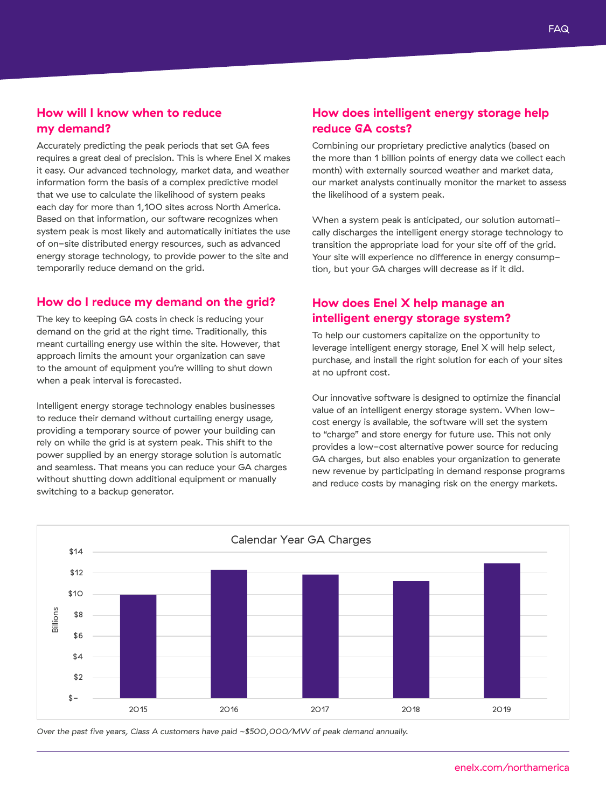## How will I know when to reduce my demand?

Accurately predicting the peak periods that set GA fees requires a great deal of precision. This is where Enel X makes it easy. Our advanced technology, market data, and weather information form the basis of a complex predictive model that we use to calculate the likelihood of system peaks each day for more than 1,100 sites across North America. Based on that information, our software recognizes when system peak is most likely and automatically initiates the use of on-site distributed energy resources, such as advanced energy storage technology, to provide power to the site and temporarily reduce demand on the grid.

#### How do I reduce my demand on the grid?

The key to keeping GA costs in check is reducing your demand on the grid at the right time. Traditionally, this meant curtailing energy use within the site. However, that approach limits the amount your organization can save to the amount of equipment you're willing to shut down when a peak interval is forecasted.

Intelligent energy storage technology enables businesses to reduce their demand without curtailing energy usage, providing a temporary source of power your building can rely on while the grid is at system peak. This shift to the power supplied by an energy storage solution is automatic and seamless. That means you can reduce your GA charges without shutting down additional equipment or manually switching to a backup generator.

#### How does intelligent energy storage help reduce GA costs?

Combining our proprietary predictive analytics (based on the more than 1 billion points of energy data we collect each month) with externally sourced weather and market data, our market analysts continually monitor the market to assess the likelihood of a system peak.

When a system peak is anticipated, our solution automatically discharges the intelligent energy storage technology to transition the appropriate load for your site off of the grid. Your site will experience no difference in energy consumption, but your GA charges will decrease as if it did.

## How does Enel X help manage an intelligent energy storage system?

To help our customers capitalize on the opportunity to leverage intelligent energy storage, Enel X will help select, purchase, and install the right solution for each of your sites at no upfront cost.

Our innovative software is designed to optimize the financial value of an intelligent energy storage system. When lowcost energy is available, the software will set the system to "charge" and store energy for future use. This not only provides a low-cost alternative power source for reducing GA charges, but also enables your organization to generate new revenue by participating in demand response programs and reduce costs by managing risk on the energy markets.



*Over the past five years, Class A customers have paid ~\$500,000/MW of peak demand annually.*